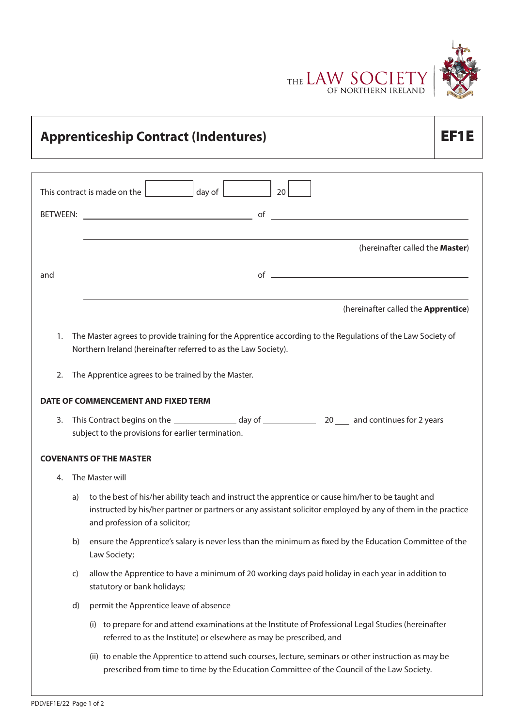

| <b>Apprenticeship Contract (Indentures)</b>                                                                                                                                                                                                                | ЕЕ1 Е                                                                                                  |  |  |  |  |
|------------------------------------------------------------------------------------------------------------------------------------------------------------------------------------------------------------------------------------------------------------|--------------------------------------------------------------------------------------------------------|--|--|--|--|
| This contract is made on the $ $ day of $ $<br>20                                                                                                                                                                                                          |                                                                                                        |  |  |  |  |
|                                                                                                                                                                                                                                                            |                                                                                                        |  |  |  |  |
| (hereinafter called the Master)                                                                                                                                                                                                                            |                                                                                                        |  |  |  |  |
| $\overline{\phantom{a}}$ of $\overline{\phantom{a}}$<br>and                                                                                                                                                                                                |                                                                                                        |  |  |  |  |
| (hereinafter called the Apprentice)                                                                                                                                                                                                                        |                                                                                                        |  |  |  |  |
| The Master agrees to provide training for the Apprentice according to the Regulations of the Law Society of<br>1.<br>Northern Ireland (hereinafter referred to as the Law Society).                                                                        |                                                                                                        |  |  |  |  |
| The Apprentice agrees to be trained by the Master.<br>2.                                                                                                                                                                                                   |                                                                                                        |  |  |  |  |
| DATE OF COMMENCEMENT AND FIXED TERM                                                                                                                                                                                                                        |                                                                                                        |  |  |  |  |
| 3.<br>subject to the provisions for earlier termination.                                                                                                                                                                                                   |                                                                                                        |  |  |  |  |
| <b>COVENANTS OF THE MASTER</b>                                                                                                                                                                                                                             |                                                                                                        |  |  |  |  |
| The Master will<br>4.                                                                                                                                                                                                                                      |                                                                                                        |  |  |  |  |
| to the best of his/her ability teach and instruct the apprentice or cause him/her to be taught and<br>a)<br>instructed by his/her partner or partners or any assistant solicitor employed by any of them in the practice<br>and profession of a solicitor; |                                                                                                        |  |  |  |  |
| ensure the Apprentice's salary is never less than the minimum as fixed by the Education Committee of the<br>b)<br>Law Society;                                                                                                                             |                                                                                                        |  |  |  |  |
| allow the Apprentice to have a minimum of 20 working days paid holiday in each year in addition to<br>$\mathsf{C}$<br>statutory or bank holidays;                                                                                                          |                                                                                                        |  |  |  |  |
| permit the Apprentice leave of absence<br>d)                                                                                                                                                                                                               |                                                                                                        |  |  |  |  |
| referred to as the Institute) or elsewhere as may be prescribed, and                                                                                                                                                                                       | (i) to prepare for and attend examinations at the Institute of Professional Legal Studies (hereinafter |  |  |  |  |
| (ii) to enable the Apprentice to attend such courses, lecture, seminars or other instruction as may be<br>prescribed from time to time by the Education Committee of the Council of the Law Society.                                                       |                                                                                                        |  |  |  |  |